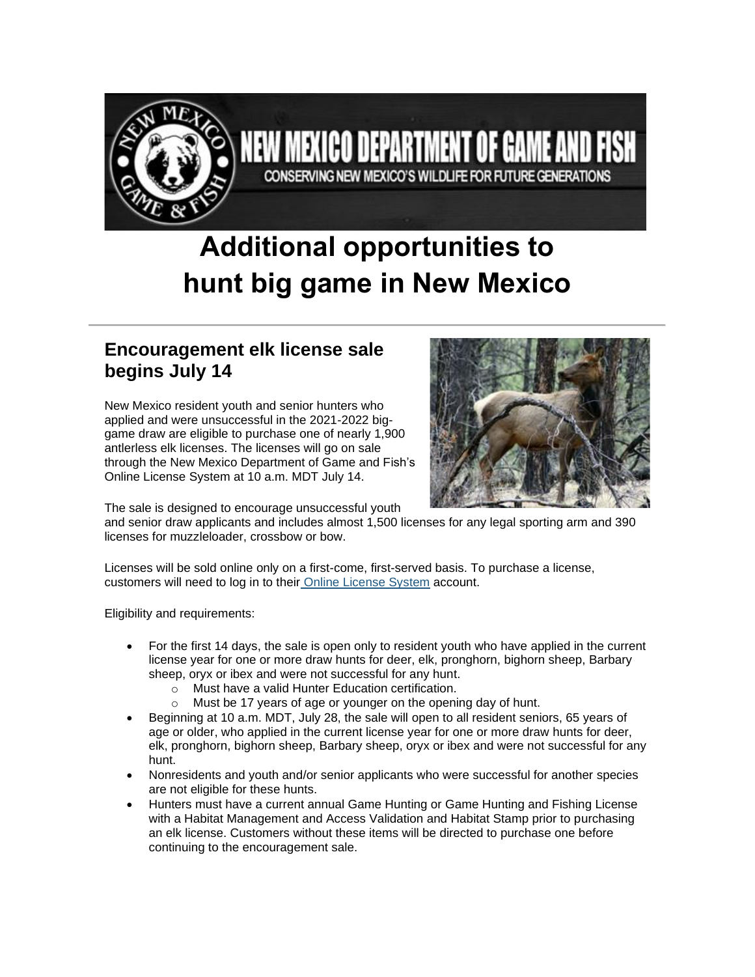

# **Additional opportunities to hunt big game in New Mexico**

MEXICO DEPARTMENT OF GAME AND FISH

CONSERVING NEW MEXICO'S WILDLIFE FOR FUTURE GENERATIONS

## **Encouragement elk license sale begins July 14**

New Mexico resident youth and senior hunters who applied and were unsuccessful in the 2021-2022 biggame draw are eligible to purchase one of nearly 1,900 antlerless elk licenses. The licenses will go on sale through the New Mexico Department of Game and Fish's Online License System at 10 a.m. MDT July 14.



The sale is designed to encourage unsuccessful youth

and senior draw applicants and includes almost 1,500 licenses for any legal sporting arm and 390 licenses for muzzleloader, crossbow or bow.

Licenses will be sold online only on a first-come, first-served basis. To purchase a license, customers will need to log in to their [Online License System](https://lnks.gd/l/eyJhbGciOiJIUzI1NiJ9.eyJidWxsZXRpbl9saW5rX2lkIjoxMDAsInVyaSI6ImJwMjpjbGljayIsImJ1bGxldGluX2lkIjoiMjAyMTA2MjIuNDIyNjA3NTEiLCJ1cmwiOiJodHRwczovL29ubGluZXNhbGVzLndpbGRsaWZlLnN0YXRlLm5tLnVzLyJ9.dc1mNIJ_5xxLXFKGvYJ5IJxJqWklJd5prRvvnVLAcgI/s/112836253/br/108264103519-l) account.

Eligibility and requirements:

- For the first 14 days, the sale is open only to resident youth who have applied in the current license year for one or more draw hunts for deer, elk, pronghorn, bighorn sheep, Barbary sheep, oryx or ibex and were not successful for any hunt.
	- o Must have a valid Hunter Education certification.
	- o Must be 17 years of age or younger on the opening day of hunt.
- Beginning at 10 a.m. MDT, July 28, the sale will open to all resident seniors, 65 years of age or older, who applied in the current license year for one or more draw hunts for deer, elk, pronghorn, bighorn sheep, Barbary sheep, oryx or ibex and were not successful for any hunt.
- Nonresidents and youth and/or senior applicants who were successful for another species are not eligible for these hunts.
- Hunters must have a current annual Game Hunting or Game Hunting and Fishing License with a Habitat Management and Access Validation and Habitat Stamp prior to purchasing an elk license. Customers without these items will be directed to purchase one before continuing to the encouragement sale.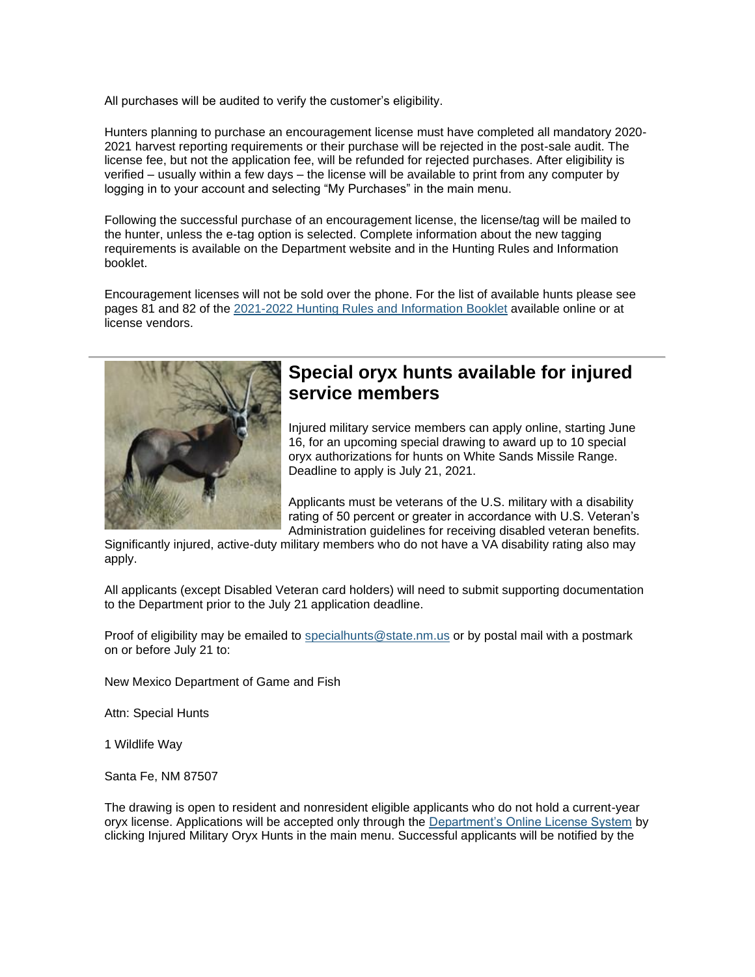All purchases will be audited to verify the customer's eligibility.

Hunters planning to purchase an encouragement license must have completed all mandatory 2020- 2021 harvest reporting requirements or their purchase will be rejected in the post-sale audit. The license fee, but not the application fee, will be refunded for rejected purchases. After eligibility is verified – usually within a few days – the license will be available to print from any computer by logging in to your account and selecting "My Purchases" in the main menu.

Following the successful purchase of an encouragement license, the license/tag will be mailed to the hunter, unless the e-tag option is selected. Complete information about the new tagging requirements is available on the Department website and in the Hunting Rules and Information booklet.

Encouragement licenses will not be sold over the phone. For the list of available hunts please see pages 81 and 82 of the [2021-2022 Hunting Rules and Information Booklet](https://lnks.gd/l/eyJhbGciOiJIUzI1NiJ9.eyJidWxsZXRpbl9saW5rX2lkIjoxMDEsInVyaSI6ImJwMjpjbGljayIsImJ1bGxldGluX2lkIjoiMjAyMTA2MjIuNDIyNjA3NTEiLCJ1cmwiOiJodHRwczovL3d3dy53aWxkbGlmZS5zdGF0ZS5ubS51cy9kb3dubG9hZC9wdWJsaWNhdGlvbnMvcmliLzIwMjEvaHVudGluZy8yMDIxXzIwMjItTmV3LU1leGljby1IdW50aW5nLVJ1bGVzLWFuZC1JbmZvLnBkZiJ9.qIKLXax-nuX0O99fdYzOLDyhrcLh3AdA9cybvYEp8G0/s/112836253/br/108264103519-l) available online or at license vendors.



#### **Special oryx hunts available for injured service members**

Injured military service members can apply online, starting June 16, for an upcoming special drawing to award up to 10 special oryx authorizations for hunts on White Sands Missile Range. Deadline to apply is July 21, 2021.

Applicants must be veterans of the U.S. military with a disability rating of 50 percent or greater in accordance with U.S. Veteran's Administration guidelines for receiving disabled veteran benefits.

Significantly injured, active-duty military members who do not have a VA disability rating also may apply.

All applicants (except Disabled Veteran card holders) will need to submit supporting documentation to the Department prior to the July 21 application deadline.

Proof of eligibility may be emailed to [specialhunts@state.nm.us](mailto:specialhunts@state.nm.us) or by postal mail with a postmark on or before July 21 to:

New Mexico Department of Game and Fish

Attn: Special Hunts

1 Wildlife Way

Santa Fe, NM 87507

The drawing is open to resident and nonresident eligible applicants who do not hold a current-year oryx license. Applications will be accepted only through the [Department's Online License System](https://lnks.gd/l/eyJhbGciOiJIUzI1NiJ9.eyJidWxsZXRpbl9saW5rX2lkIjoxMDIsInVyaSI6ImJwMjpjbGljayIsImJ1bGxldGluX2lkIjoiMjAyMTA2MjIuNDIyNjA3NTEiLCJ1cmwiOiJodHRwczovL29ubGluZXNhbGVzLndpbGRsaWZlLnN0YXRlLm5tLnVzLyJ9.fG080ejXMHLbhVCLGjQrylVWWO3JDhDCZ7Nrlp75ebs/s/112836253/br/108264103519-l) by clicking Injured Military Oryx Hunts in the main menu. Successful applicants will be notified by the